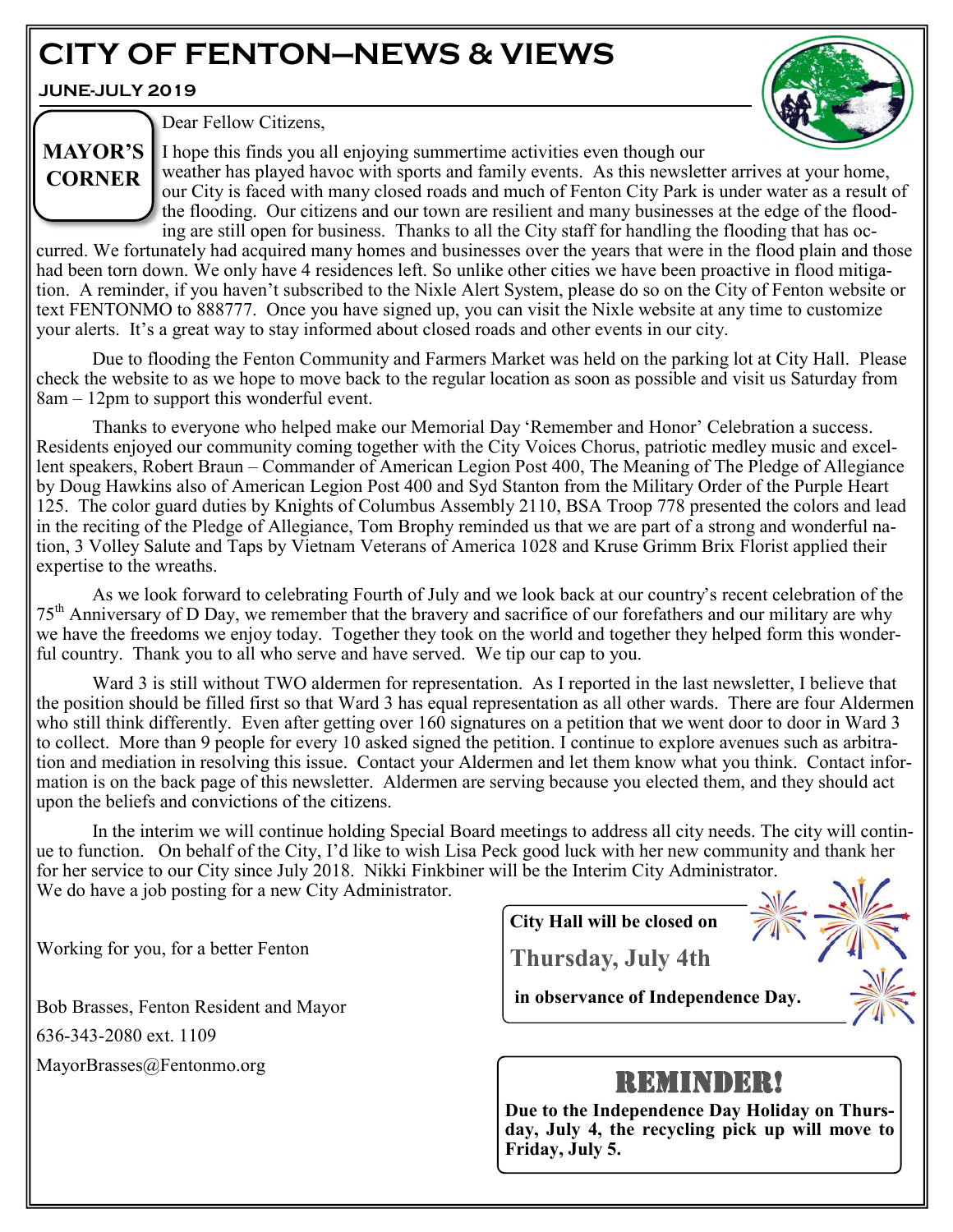# **CITY OF FENTON—NEWS & VIEWS**

**JUNE-JULY 2019**

**CORNER**



Dear Fellow Citizens,

I hope this finds you all enjoying summertime activities even though our **MAYOR'S** 

weather has played havoc with sports and family events. As this newsletter arrives at your home, our City is faced with many closed roads and much of Fenton City Park is under water as a result of the flooding. Our citizens and our town are resilient and many businesses at the edge of the flooding are still open for business. Thanks to all the City staff for handling the flooding that has oc-

curred. We fortunately had acquired many homes and businesses over the years that were in the flood plain and those had been torn down. We only have 4 residences left. So unlike other cities we have been proactive in flood mitigation. A reminder, if you haven't subscribed to the Nixle Alert System, please do so on the City of Fenton website or text FENTONMO to 888777. Once you have signed up, you can visit the Nixle website at any time to customize your alerts. It's a great way to stay informed about closed roads and other events in our city.

Due to flooding the Fenton Community and Farmers Market was held on the parking lot at City Hall. Please check the website to as we hope to move back to the regular location as soon as possible and visit us Saturday from 8am – 12pm to support this wonderful event.

Thanks to everyone who helped make our Memorial Day 'Remember and Honor' Celebration a success. Residents enjoyed our community coming together with the City Voices Chorus, patriotic medley music and excellent speakers, Robert Braun – Commander of American Legion Post 400, The Meaning of The Pledge of Allegiance by Doug Hawkins also of American Legion Post 400 and Syd Stanton from the Military Order of the Purple Heart 125. The color guard duties by Knights of Columbus Assembly 2110, BSA Troop 778 presented the colors and lead in the reciting of the Pledge of Allegiance, Tom Brophy reminded us that we are part of a strong and wonderful nation, 3 Volley Salute and Taps by Vietnam Veterans of America 1028 and Kruse Grimm Brix Florist applied their expertise to the wreaths.

As we look forward to celebrating Fourth of July and we look back at our country's recent celebration of the  $75<sup>th</sup>$  Anniversary of D Day, we remember that the bravery and sacrifice of our forefathers and our military are why we have the freedoms we enjoy today. Together they took on the world and together they helped form this wonderful country. Thank you to all who serve and have served. We tip our cap to you.

Ward 3 is still without TWO aldermen for representation. As I reported in the last newsletter, I believe that the position should be filled first so that Ward 3 has equal representation as all other wards. There are four Aldermen who still think differently. Even after getting over 160 signatures on a petition that we went door to door in Ward 3 to collect. More than 9 people for every 10 asked signed the petition. I continue to explore avenues such as arbitration and mediation in resolving this issue. Contact your Aldermen and let them know what you think. Contact information is on the back page of this newsletter. Aldermen are serving because you elected them, and they should act upon the beliefs and convictions of the citizens.

In the interim we will continue holding Special Board meetings to address all city needs. The city will continue to function. On behalf of the City, I'd like to wish Lisa Peck good luck with her new community and thank her for her service to our City since July 2018. Nikki Finkbiner will be the Interim City Administrator. We do have a job posting for a new City Administrator.

Working for you, for a better Fenton

Bob Brasses, Fenton Resident and Mayor 636-343-2080 ext. 1109 MayorBrasses@Fentonmo.org

**City Hall will be closed on**

**Thursday, July 4th**

**in observance of Independence Day.**

# REMINDER!

**Due to the Independence Day Holiday on Thursday, July 4, the recycling pick up will move to Friday, July 5.**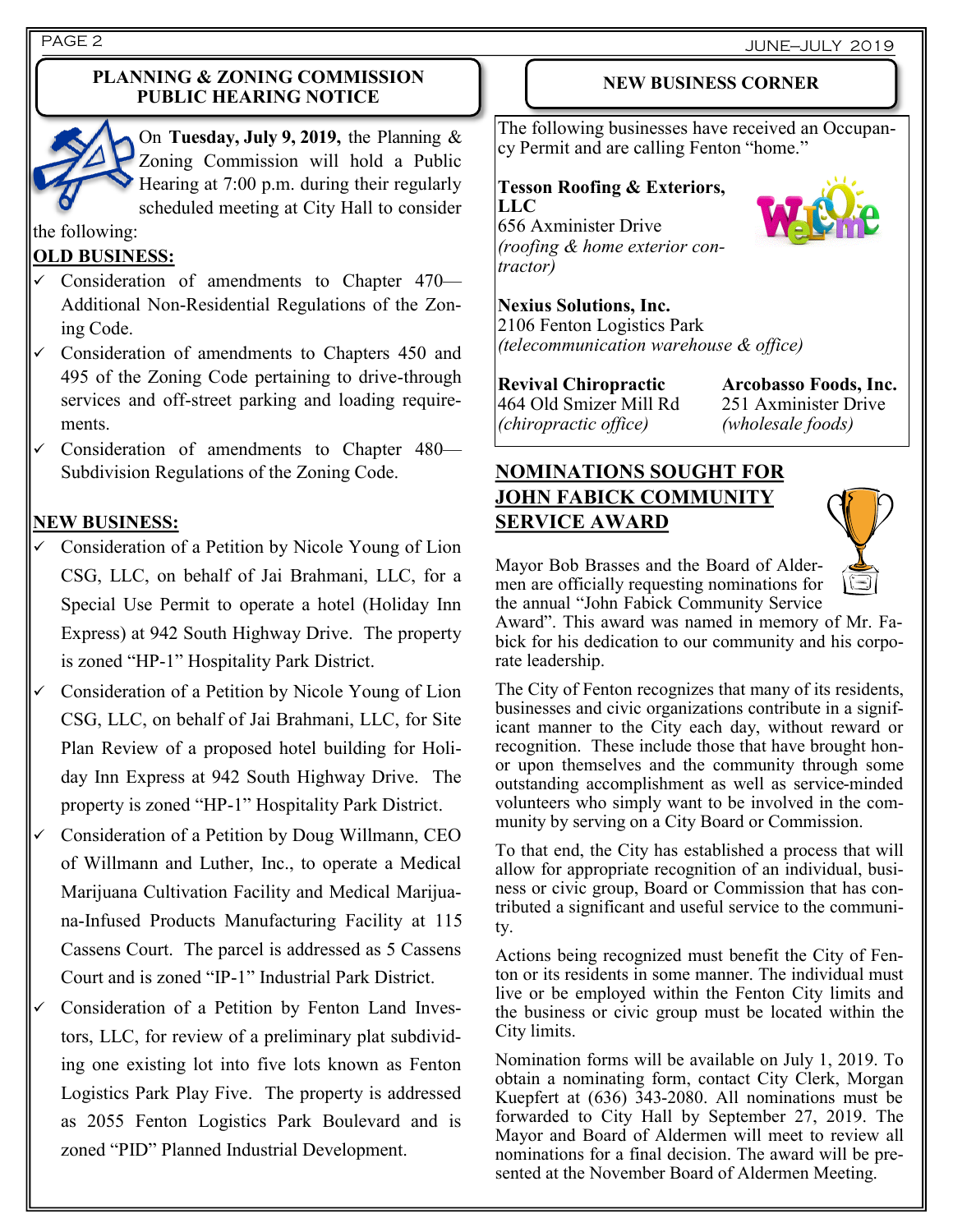#### **PLANNING & ZONING COMMISSION PUBLIC HEARING NOTICE**



On **Tuesday, July 9, 2019,** the Planning & Zoning Commission will hold a Public Hearing at 7:00 p.m. during their regularly scheduled meeting at City Hall to consider

#### the following:

#### **OLD BUSINESS:**

- Consideration of amendments to Chapter 470— Additional Non-Residential Regulations of the Zoning Code.
- $\checkmark$  Consideration of amendments to Chapters 450 and 495 of the Zoning Code pertaining to drive-through services and off-street parking and loading requirements.
- Consideration of amendments to Chapter 480— Subdivision Regulations of the Zoning Code.

#### **NEW BUSINESS:**

- Consideration of a Petition by Nicole Young of Lion CSG, LLC, on behalf of Jai Brahmani, LLC, for a Special Use Permit to operate a hotel (Holiday Inn Express) at 942 South Highway Drive. The property is zoned "HP-1" Hospitality Park District.
- Consideration of a Petition by Nicole Young of Lion CSG, LLC, on behalf of Jai Brahmani, LLC, for Site Plan Review of a proposed hotel building for Holiday Inn Express at 942 South Highway Drive. The property is zoned "HP-1" Hospitality Park District.
- Consideration of a Petition by Doug Willmann, CEO of Willmann and Luther, Inc., to operate a Medical Marijuana Cultivation Facility and Medical Marijuana-Infused Products Manufacturing Facility at 115 Cassens Court. The parcel is addressed as 5 Cassens Court and is zoned "IP-1" Industrial Park District.
- Consideration of a Petition by Fenton Land Investors, LLC, for review of a preliminary plat subdividing one existing lot into five lots known as Fenton Logistics Park Play Five. The property is addressed as 2055 Fenton Logistics Park Boulevard and is zoned "PID" Planned Industrial Development.

#### **NEW BUSINESS CORNER**

The following businesses have received an Occupancy Permit and are calling Fenton "home."

#### **Tesson Roofing & Exteriors, LLC**

656 Axminister Drive *(roofing & home exterior contractor)*



**Nexius Solutions, Inc.**  2106 Fenton Logistics Park *(telecommunication warehouse & office)*

**Revival Chiropractic Arcobasso Foods, Inc.**  464 Old Smizer Mill Rd 251 Axminister Drive *(chiropractic office) (wholesale foods)*

# **NOMINATIONS SOUGHT FOR JOHN FABICK COMMUNITY SERVICE AWARD**



Mayor Bob Brasses and the Board of Aldermen are officially requesting nominations for the annual "John Fabick Community Service

Award". This award was named in memory of Mr. Fabick for his dedication to our community and his corporate leadership.

The City of Fenton recognizes that many of its residents, businesses and civic organizations contribute in a significant manner to the City each day, without reward or recognition. These include those that have brought honor upon themselves and the community through some outstanding accomplishment as well as service-minded volunteers who simply want to be involved in the community by serving on a City Board or Commission.

To that end, the City has established a process that will allow for appropriate recognition of an individual, business or civic group, Board or Commission that has contributed a significant and useful service to the community.

Actions being recognized must benefit the City of Fenton or its residents in some manner. The individual must live or be employed within the Fenton City limits and the business or civic group must be located within the City limits.

Nomination forms will be available on July 1, 2019. To obtain a nominating form, contact City Clerk, Morgan Kuepfert at (636) 343-2080. All nominations must be forwarded to City Hall by September 27, 2019. The Mayor and Board of Aldermen will meet to review all nominations for a final decision. The award will be presented at the November Board of Aldermen Meeting.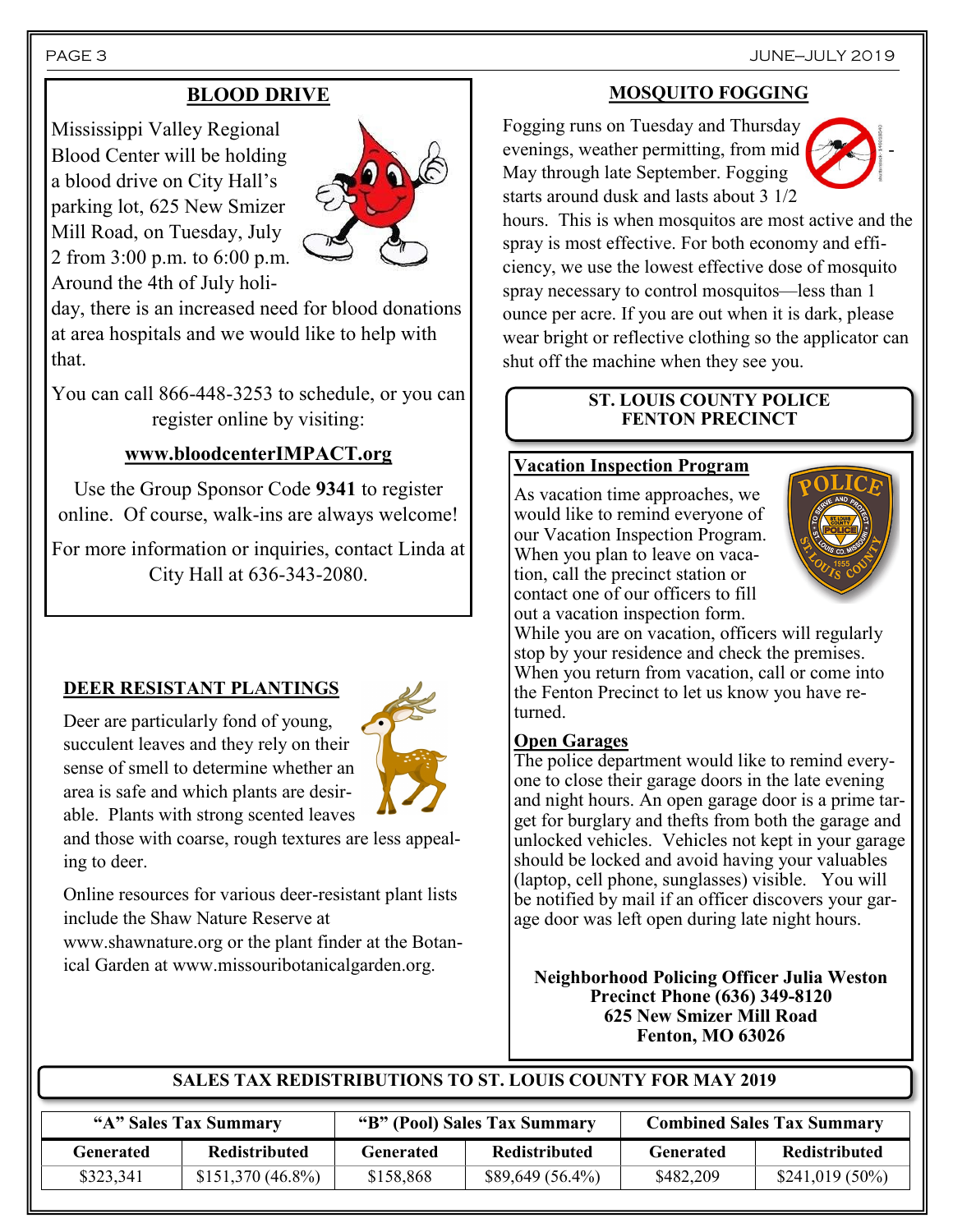# **BLOOD DRIVE**

Mississippi Valley Regional Blood Center will be holding a blood drive on City Hall's parking lot, 625 New Smizer Mill Road, on Tuesday, July 2 from 3:00 p.m. to 6:00 p.m. Around the 4th of July holi-



day, there is an increased need for blood donations at area hospitals and we would like to help with that.

You can call 866-448-3253 to schedule, or you can register online by visiting:

# **www.bloodcenterIMPACT.org**

Use the Group Sponsor Code **9341** to register online. Of course, walk-ins are always welcome!

For more information or inquiries, contact Linda at City Hall at 636-343-2080.

# **DEER RESISTANT PLANTINGS**

Deer are particularly fond of young, succulent leaves and they rely on their sense of smell to determine whether an area is safe and which plants are desirable. Plants with strong scented leaves



and those with coarse, rough textures are less appealing to deer.

Online resources for various deer-resistant plant lists include the Shaw Nature Reserve at

www.shawnature.org or the plant finder at the Botanical Garden at www.missouribotanicalgarden.org.

# **MOSQUITO FOGGING**

Fogging runs on Tuesday and Thursday evenings, weather permitting, from mid May through late September. Fogging starts around dusk and lasts about 3 1/2



hours. This is when mosquitos are most active and the spray is most effective. For both economy and efficiency, we use the lowest effective dose of mosquito spray necessary to control mosquitos—less than 1 ounce per acre. If you are out when it is dark, please wear bright or reflective clothing so the applicator can shut off the machine when they see you.

#### **ST. LOUIS COUNTY POLICE FENTON PRECINCT**

#### **Vacation Inspection Program**

As vacation time approaches, we would like to remind everyone of our Vacation Inspection Program. When you plan to leave on vacation, call the precinct station or contact one of our officers to fill out a vacation inspection form.



While you are on vacation, officers will regularly stop by your residence and check the premises. When you return from vacation, call or come into the Fenton Precinct to let us know you have returned.

#### **Open Garages**

The police department would like to remind everyone to close their garage doors in the late evening and night hours. An open garage door is a prime target for burglary and thefts from both the garage and unlocked vehicles. Vehicles not kept in your garage should be locked and avoid having your valuables (laptop, cell phone, sunglasses) visible. You will be notified by mail if an officer discovers your garage door was left open during late night hours.

**Neighborhood Policing Officer Julia Weston Precinct Phone (636) 349-8120 625 New Smizer Mill Road Fenton, MO 63026**

#### **SALES TAX REDISTRIBUTIONS TO ST. LOUIS COUNTY FOR MAY 2019**

| "A" Sales Tax Summary |                     | "B" (Pool) Sales Tax Summary |                      | <b>Combined Sales Tax Summary</b> |                  |
|-----------------------|---------------------|------------------------------|----------------------|-----------------------------------|------------------|
| Generated             | Redistributed       | Generated                    | <b>Redistributed</b> | Generated                         | Redistributed    |
| \$323,341             | $$151,370 (46.8\%)$ | \$158,868                    | $$89,649(56.4\%)$    | \$482,209                         | $$241,019(50\%)$ |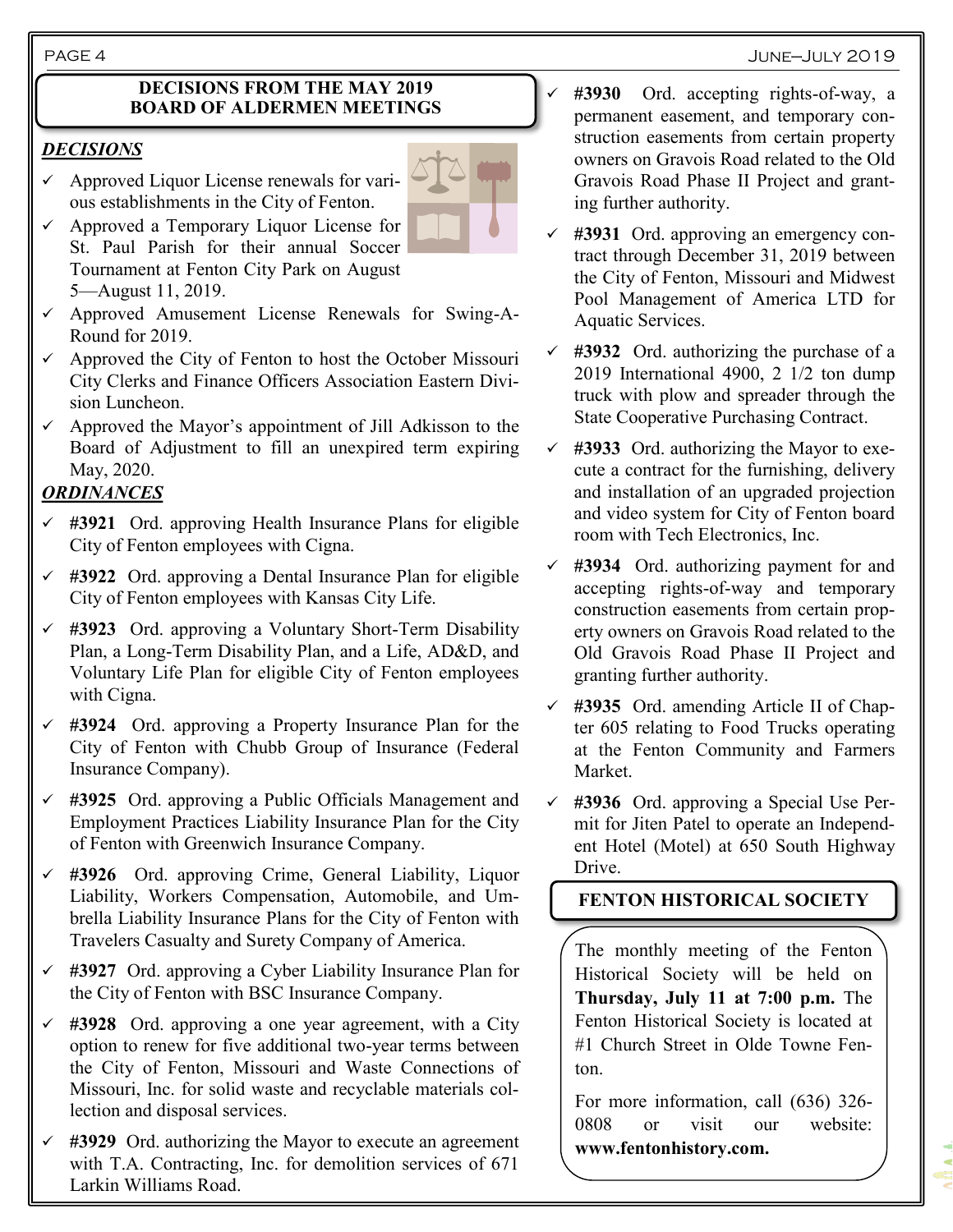PAGE 4 June—July 2019

#### **DECISIONS FROM THE MAY 2019 BOARD OF ALDERMEN MEETINGS**

#### *DECISIONS*

- $\checkmark$  Approved Liquor License renewals for various establishments in the City of Fenton.
- $\checkmark$  Approved a Temporary Liquor License for St. Paul Parish for their annual Soccer Tournament at Fenton City Park on August 5—August 11, 2019.
- $\checkmark$  Approved Amusement License Renewals for Swing-A-Round for 2019.
- ✓ Approved the City of Fenton to host the October Missouri City Clerks and Finance Officers Association Eastern Division Luncheon.
- $\checkmark$  Approved the Mayor's appointment of Jill Adkisson to the Board of Adjustment to fill an unexpired term expiring May, 2020.

# *ORDINANCES*

- ✓ **#3921** Ord. approving Health Insurance Plans for eligible City of Fenton employees with Cigna.
- ✓ **#3922** Ord. approving a Dental Insurance Plan for eligible City of Fenton employees with Kansas City Life.
- ✓ **#3923** Ord. approving a Voluntary Short-Term Disability Plan, a Long-Term Disability Plan, and a Life, AD&D, and Voluntary Life Plan for eligible City of Fenton employees with Cigna.
- ✓ **#3924** Ord. approving a Property Insurance Plan for the City of Fenton with Chubb Group of Insurance (Federal Insurance Company).
- ✓ **#3925** Ord. approving a Public Officials Management and Employment Practices Liability Insurance Plan for the City of Fenton with Greenwich Insurance Company.
- ✓ **#3926** Ord. approving Crime, General Liability, Liquor Liability, Workers Compensation, Automobile, and Umbrella Liability Insurance Plans for the City of Fenton with Travelers Casualty and Surety Company of America.
- ✓ **#3927** Ord. approving a Cyber Liability Insurance Plan for the City of Fenton with BSC Insurance Company.
- ✓ **#3928** Ord. approving a one year agreement, with a City option to renew for five additional two-year terms between the City of Fenton, Missouri and Waste Connections of Missouri, Inc. for solid waste and recyclable materials collection and disposal services.
- ✓ **#3929** Ord. authorizing the Mayor to execute an agreement with T.A. Contracting, Inc. for demolition services of 671 Larkin Williams Road.



- ✓ **#3930** Ord. accepting rights-of-way, a permanent easement, and temporary construction easements from certain property owners on Gravois Road related to the Old Gravois Road Phase II Project and granting further authority.
- ✓ **#3931** Ord. approving an emergency contract through December 31, 2019 between the City of Fenton, Missouri and Midwest Pool Management of America LTD for Aquatic Services.
- ✓ **#3932** Ord. authorizing the purchase of a 2019 International 4900, 2 1/2 ton dump truck with plow and spreader through the State Cooperative Purchasing Contract.
- ✓ **#3933** Ord. authorizing the Mayor to execute a contract for the furnishing, delivery and installation of an upgraded projection and video system for City of Fenton board room with Tech Electronics, Inc.
- ✓ **#3934** Ord. authorizing payment for and accepting rights-of-way and temporary construction easements from certain property owners on Gravois Road related to the Old Gravois Road Phase II Project and granting further authority.
- ✓ **#3935** Ord. amending Article II of Chapter 605 relating to Food Trucks operating at the Fenton Community and Farmers Market.
- ✓ **#3936** Ord. approving a Special Use Permit for Jiten Patel to operate an Independent Hotel (Motel) at 650 South Highway Drive.

# **FENTON HISTORICAL SOCIETY**

The monthly meeting of the Fenton Historical Society will be held on **Thursday, July 11 at 7:00 p.m.** The Fenton Historical Society is located at #1 Church Street in Olde Towne Fenton.

For more information, call (636) 326- 0808 or visit our website: **www.fentonhistory.com.**

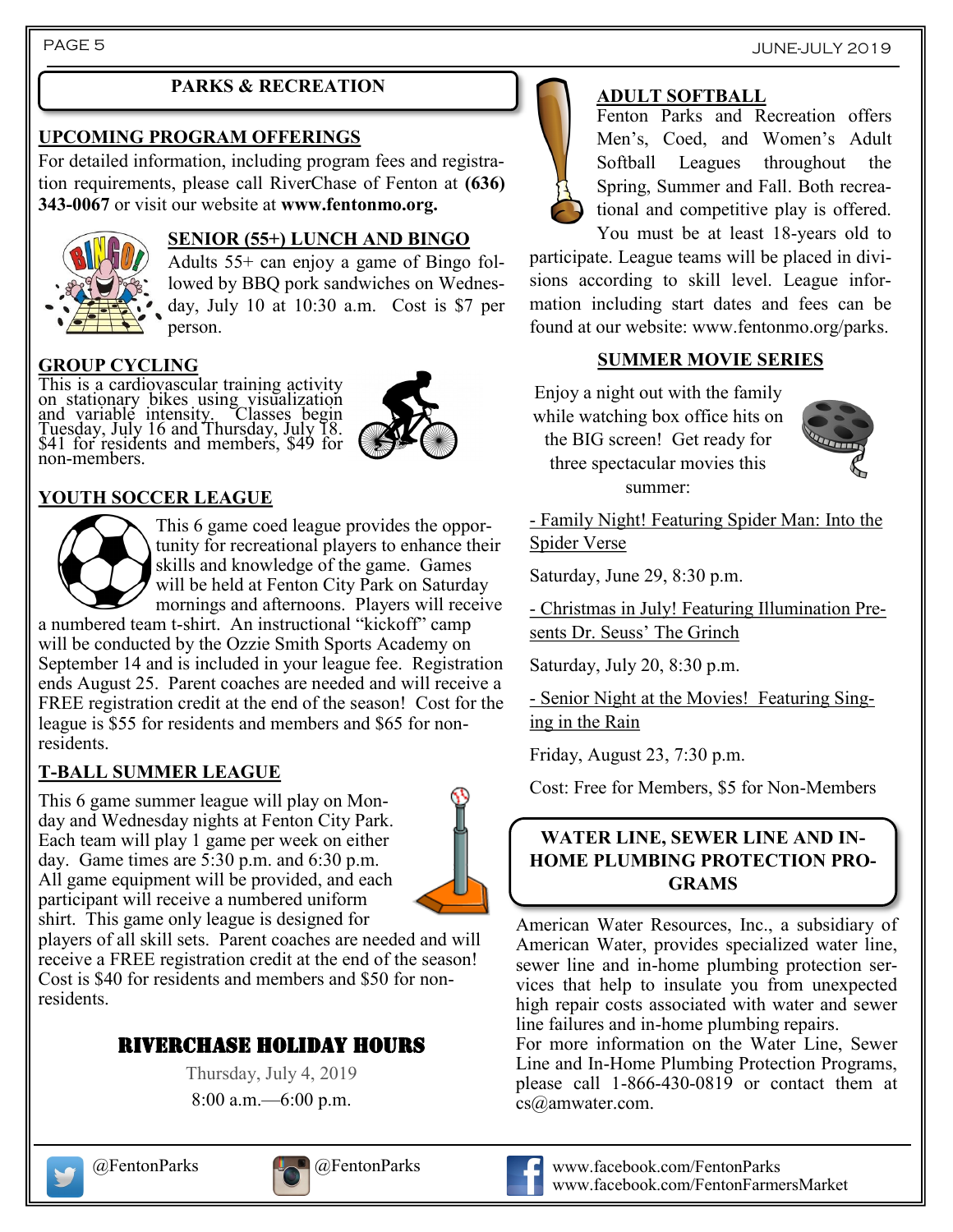## **PARKS & RECREATION**

#### **UPCOMING PROGRAM OFFERINGS**

For detailed information, including program fees and registration requirements, please call RiverChase of Fenton at **(636) 343-0067** or visit our website at **www.fentonmo.org.**



## **SENIOR (55+) LUNCH AND BINGO**

Adults 55+ can enjoy a game of Bingo followed by BBQ pork sandwiches on Wednesday, July 10 at 10:30 a.m. Cost is \$7 per person.

#### **GROUP CYCLING**

This is a cardiovascular training activity on stationary bikes using visualization and variable intensity. Classes begin Tuesday, July 16 and Thursday, July 18. \$41 for residents and members, \$49 for non-members.



# **YOUTH SOCCER LEAGUE**



This 6 game coed league provides the opportunity for recreational players to enhance their skills and knowledge of the game. Games will be held at Fenton City Park on Saturday mornings and afternoons. Players will receive

a numbered team t-shirt. An instructional "kickoff" camp will be conducted by the Ozzie Smith Sports Academy on September 14 and is included in your league fee. Registration ends August 25. Parent coaches are needed and will receive a FREE registration credit at the end of the season! Cost for the league is \$55 for residents and members and \$65 for nonresidents.

#### **T-BALL SUMMER LEAGUE**

This 6 game summer league will play on Monday and Wednesday nights at Fenton City Park. Each team will play 1 game per week on either day. Game times are 5:30 p.m. and 6:30 p.m. All game equipment will be provided, and each participant will receive a numbered uniform shirt. This game only league is designed for



players of all skill sets. Parent coaches are needed and will receive a FREE registration credit at the end of the season! Cost is \$40 for residents and members and \$50 for nonresidents.

# RIVERCHASE HOLIDAY HOURS

Thursday, July 4, 2019 8:00 a.m.—6:00 p.m.



# **ADULT SOFTBALL**

Fenton Parks and Recreation offers Men's, Coed, and Women's Adult Softball Leagues throughout the Spring, Summer and Fall. Both recreational and competitive play is offered. You must be at least 18-years old to

participate. League teams will be placed in divisions according to skill level. League information including start dates and fees can be found at our website: www.fentonmo.org/parks.

#### **SUMMER MOVIE SERIES**

Enjoy a night out with the family while watching box office hits on the BIG screen! Get ready for three spectacular movies this summer:



- Family Night! Featuring Spider Man: Into the Spider Verse

Saturday, June 29, 8:30 p.m.

- Christmas in July! Featuring Illumination Presents Dr. Seuss' The Grinch

Saturday, July 20, 8:30 p.m.

- Senior Night at the Movies! Featuring Singing in the Rain

Friday, August 23, 7:30 p.m.

Cost: Free for Members, \$5 for Non-Members

#### **WATER LINE, SEWER LINE AND IN-HOME PLUMBING PROTECTION PRO-GRAMS**

American Water Resources, Inc., a subsidiary of American Water, provides specialized water line, sewer line and in-home plumbing protection services that help to insulate you from unexpected high repair costs associated with water and sewer line failures and in-home plumbing repairs.

For more information on the Water Line, Sewer Line and In-Home Plumbing Protection Programs, please call 1-866-430-0819 or contact them at cs@amwater.com.





#### @FentonParks @FentonParks www.facebook.com/FentonParks www.facebook.com/FentonFarmersMarket